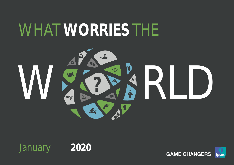# WHAT **WORRIES** THE





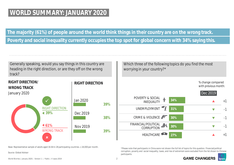## **WORLD SUMMARY: JANUARY 2020**

**The majority (61%) of people around the world think things in their country are on the wrong track.**

**Poverty and social inequality currently occupies the top spot for global concern with 34% saying this.**

Generally speaking, would you say things in this country are heading in the right direction, or are they off on the wrong track?

**RIGHT DIRECTION**  $\overline{\mathbf{x}}$ ✓ RIGHT DIRECTION WRONG TRACK **39% 61% 39% 38% 39%** Jan 2020 Dec 2019 Nov 2019 **RIGHT DIRECTION/ WRONG TRACK**  January 2020

Which three of the following topics do you find the most worrying in your country?\*



\*Please note that participants in China were not shown the full list of topics for this question. Financial/political corruption, poverty and social inequality, taxes, and rise of extremism were excluded from the list shown to Chinese participants.



Source: Global Advisor

Base: Representative sample of adults aged 16-64 in 28 participating countries. c.18,000 per month.

World Worries | January 2020 | Version 1 | Public | © Ipsos 2019 2019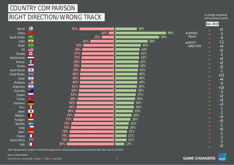# COUNTRY COMPARISON

# RIGHT DIRECTION/WRONG TRACK

% change compared with previous month:

**Dec 2019**

| World                | $\bigcirc$<br>61%                                             |     | 39% |                      | $+1$                                             |
|----------------------|---------------------------------------------------------------|-----|-----|----------------------|--------------------------------------------------|
| China                |                                                               | 10% |     | 90%<br><b>NANCIC</b> | $\blacktriangle$<br>$-3$<br>$\blacktriangledown$ |
| Saudi Arabia         | $\begin{array}{c} \text{5239} \\[-4pt] \text{--} \end{array}$ | 22% |     | <b>TRACK</b><br>78%  | $-4$<br>$\blacktriangledown$                     |
| India                |                                                               | 42% | 58% | $\blacksquare$ RIGHT | $-11$<br>$\blacktriangledown$                    |
| Brazil               | $\bigcirc$<br>54%                                             |     | 46% | <b>DIRECTION</b>     | $+4$<br>$\blacktriangle$                         |
| <b>US</b>            | $\equiv$<br>56%                                               |     | 44% |                      | $+2$<br>$\blacktriangle$                         |
| Canada               | I÷<br>57%                                                     |     | 43% |                      | $-2$<br>$\blacktriangledown$                     |
| Netherlands          | 57%                                                           |     | 43% |                      | $+5$<br>$\blacktriangle$                         |
| Mexico               | $\bullet$<br>58%                                              |     | 42% |                      | $+2$<br>$\blacktriangle$                         |
| Russia               | <b>CONTRACT</b><br>58%                                        |     | 42% |                      | $+2$<br>$\blacktriangle$                         |
| South Korea          | $\left  \left\langle \bullet \right\rangle \right $<br>59%    |     | 41% |                      | $-1$<br>$\blacktriangledown$                     |
| <b>Great Britain</b> | $\frac{\mathbb{N}\mathbb{K}}{\mathbb{N}\mathbb{K}}$<br>60%    |     | 40% |                      | $+15$<br>$\blacktriangle$                        |
| Israel               | $\frac{1}{\sqrt{2}}$<br>60%                                   |     | 40% |                      | $+4$<br>$\blacktriangle$                         |
| Malaysia             | $C \equiv$<br>60%                                             |     | 40% |                      | $-9$<br>$\blacktriangledown$                     |
| Argentina            | 61%<br>$\mathbf{R}_{\mathrm{eff}}$                            |     | 39% |                      | $+16$<br>$\blacktriangle$                        |
| Australia            | ▓<br>62%                                                      |     | 38% |                      | $-3$<br>$\blacktriangledown$                     |
| Poland               | 63%                                                           |     | 37% |                      | $+2$<br>$\blacktriangle$                         |
| Turkey               | 64%<br>$ C^{\star} $                                          |     | 36% |                      | $+3$<br>$\blacktriangle$                         |
| Germany              | 66%<br>٠                                                      |     | 34% |                      | $+3$<br>$\blacktriangle$                         |
| Peru                 | <b>O</b><br>66%                                               |     | 34% |                      | $-1$<br>$\blacktriangledown$                     |
| Japan                | 68%<br>$\bullet$                                              |     | 32% |                      | $-2$<br>$\blacktriangledown$                     |
| Belgium              | Ш<br>70%                                                      |     | 30% |                      | $+3$<br>$\blacktriangle$                         |
| Hungary              | 72%                                                           |     | 28% |                      | $+5$<br>$\blacktriangle$                         |
| Sweden               | ▅<br>75%                                                      |     | 25% |                      | $-1$<br>$\blacktriangledown$                     |
| Chile                | $\vert \star \vert$<br>76%                                    |     | 24% |                      | $+5$<br>$\blacktriangle$                         |
| Spain                | 78%<br>學                                                      |     | 22% |                      | $-1$<br>$\blacktriangledown$                     |
| France               | П<br>79%                                                      |     | 21% |                      | $-3$<br>$\blacktriangledown$                     |
| South Africa         | $\sum$<br>79%                                                 |     | 21% |                      | $-2$<br>$\blacktriangledown$                     |
| Italy                | 83%<br>Ш                                                      |     | 17% |                      | $+2$<br>$\blacktriangle$                         |

Base: Representative sample of 19,508 adults aged 16-64 in 28 participating countries, December 20th 2019 - January 3rd 2018.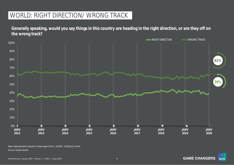# WORLD: RIGHT DIRECTION/ WRONG TRACK

**Generally speaking, would you say things in this country are heading in the right direction, or are they off on the wrong track?**



Source: Global Advisor Base: Representative sample of adults aged 16-64, c.18,000 – 20,000 per month.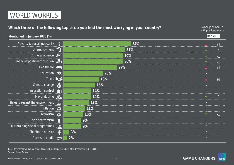## **Which three of the following topics do you find the most worrying in your country?**

% change compared with previous month:

| Mentioned in January 2020 (%)                     |                    |     | Dec 2019 |  |
|---------------------------------------------------|--------------------|-----|----------|--|
| Poverty & social inequality $\oint$               |                    | 34% |          |  |
| Unemployment T                                    |                    | 31% |          |  |
| Crime & violence $\sqrt{\overline{\overline{C}}}$ |                    | 30% |          |  |
| Financial/political corruption                    |                    | 30% |          |  |
| Healthcare                                        |                    | 27% |          |  |
| Education $\blacksquare$                          |                    | 20% |          |  |
| Taxes <b>Experience</b>                           |                    | 18% |          |  |
| Climate change                                    |                    | 16% |          |  |
| Immigration control                               |                    | 14% |          |  |
| Moral decline                                     |                    | 14% |          |  |
| Threats against the environment                   |                    | 13% |          |  |
| Inflation                                         | $\mathbf{\hat{u}}$ | 11% |          |  |
| Terrorism                                         |                    | 10% |          |  |
| Rise of extremism                                 | G                  | 9%  |          |  |
| Maintaining social programmes                     |                    | 9%  |          |  |
| Childhood obesity                                 |                    | 3%  |          |  |
| Access to credit                                  | 偏                  | 2%  |          |  |

Source: Global Advisor Base: Representative sample of adults aged 16-64. January 2020: 19,508; December 2019: 20,011.

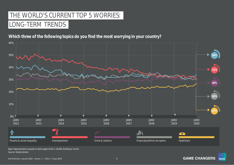# THE WORLD'S CURRENT TOP 5 WORRIES: LONG-TERM TRENDS

### **Which three of the following topics do you find the most worrying in your country?**



Source: Global Advisor Base: Representative sample of adults aged 16-64, c.18,000-20,000 per month.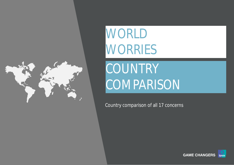

World Worries | September 2017 | Version 1 | Public | © Ipsos 2019 7

# WORLD WORRIES

# COUNTRY **COMPARISON**

Country comparison of all 17 concerns

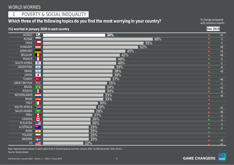## 11 | POVERTY & SOCIAL INEQUALITY 1

## Which three of the following topics do you find the most worrying in your country? **Which three of the following topics** do you find the most worrying in your country?

with previous month:

**Dec 2019**

#### **(%) worried in January 2020 in each country**

| <b>WORLD</b>         | $\Diamond$                                                    | 34% | $\blacktriangle$     | $\bf{+1}$ |
|----------------------|---------------------------------------------------------------|-----|----------------------|-----------|
| <b>RUSSIA</b>        |                                                               | 60% | $\blacktriangledown$ | $-1$      |
| <b>CHILE</b>         | $\star$                                                       | 55% | $\blacktriangledown$ | $-1$      |
| <b>HUNGARY</b>       |                                                               | 52% | $\blacktriangle$     | $+9$      |
| <b>GERMANY</b>       |                                                               | 45% | $\blacktriangle$     | $+1$      |
| <b>BELGIUM</b>       |                                                               | 42% |                      | $+8$      |
| FRANCE               |                                                               | 40% | ▼                    | $-2$      |
| <b>SOUTH KOREA</b>   | $\sqrt{\bullet}$                                              | 40% | $\blacktriangledown$ | $-1$      |
| ARGENTINA            | <b>B</b>                                                      | 39% | $\blacktriangledown$ | $-6$      |
| <b>ISRAEL</b>        | $\frac{1}{2}$                                                 | 38% | ▲                    | $+3$      |
| <b>JAPAN</b>         | $\bullet$                                                     | 38% | $\equiv$             |           |
| <b>TURKEY</b>        | $ _{\mathbf{C}^*}$                                            | 37% | ▲                    | $+6$      |
| <b>GREAT BRITAIN</b> | $rac{N}{N}$                                                   | 35% | ▼                    | $-1$      |
| <b>BRAZIL</b>        | $\bigcirc$                                                    | 34% | $\blacktriangle$     | $+2$      |
| <b>MEXICO</b>        | $\blacksquare$                                                | 34% | ▼                    | $-6$      |
| NETHERLANDS          |                                                               | 33% |                      | $+4$      |
| SPAIN                | 一条 一                                                          | 33% |                      |           |
| <b>ITALY</b>         | L                                                             | 30% | $=$ .                |           |
| SOUTH AFRICA         | $\sum$                                                        | 29% |                      | $+1$      |
| SAUDI ARABIA         | $\begin{array}{c} \text{5300} \\[-4pt] \text{--} \end{array}$ | 28% |                      | $+6$      |
| PERU                 | <b>B</b>                                                      | 27% |                      | $-5$      |
| CANADA               | L.                                                            | 26% |                      | $-1$      |
| <b>MALAYSIA</b>      | $C \equiv$                                                    | 26% |                      | $-1$      |
| <b>AUSTRALIA</b>     | ▓                                                             | 25% |                      |           |
| <b>INDIA</b>         | $\overline{\phantom{a}}$ $\circ$                              | 25% |                      |           |
| POLAND               |                                                               | 25% |                      |           |
| SWEDEN               | a po                                                          | 25% |                      | $+2$      |
| <b>US</b>            | █▓██                                                          | 22% |                      | $+1$      |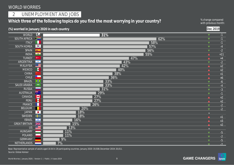## 2 | UNEMPLOYMENT AND JOBS

## Which three of the following topics do you find the most worrying in your country?<br>with previous month

with previous month:

**Dec 2019**

| $\bigcirc$<br><b>WORLD</b><br>31%<br>$-1$<br>$\blacktriangledown$<br>$\geq$<br><b>SOUTH AFRICA</b><br>62%<br>$-1$<br>$\blacktriangledown$<br><b>ITALY</b><br>58%<br>$-1$<br>$\blacktriangledown$<br>$\sqrt{\bullet}$<br><b>SOUTH KOREA</b><br>57%<br>$-4$<br>$\blacktriangledown$<br>56%<br><b>SPAIN</b><br>$-2$<br>参<br>$\blacktriangledown$<br>$\overline{\bullet}$<br>55%<br><b>INDIA</b><br>$+11$<br>$\blacktriangle$<br><b>TURKEY</b><br>$\mathbf{C}^{\star}$<br>47%<br>$+4$<br>$\blacktriangle$<br><b>ARGENTINA</b><br>43%<br>$\overline{\phantom{a}}$<br>$-2$<br>$\blacktriangledown$<br>$C \equiv$<br>42%<br><b>MALAYSIA</b><br>$+2$<br>$\blacktriangle$<br>$\blacksquare$<br><b>MEXICO</b><br>40%<br>$+2$<br>$\blacktriangle$<br>38%<br><b>CHINA</b><br>$+1$<br>$\blacktriangle$ .<br>$\star$<br><b>CHILE</b><br>36%<br>$+6$<br>$\blacktriangle$<br><b>BRAZIL</b><br>$\bigcirc$<br>33%<br>$-6$<br>$\blacktriangledown$<br><b>SAUDI ARABIA</b><br>33%<br>$\stackrel{\text{5588}}{=}$<br>$-4$<br>$\blacktriangledown$<br>31%<br><b>RUSSIA</b><br>$-3$<br>$\blacktriangledown$<br>業<br><b>AUSTRALIA</b><br>29%<br>$-1$<br>$\blacktriangledown$<br>L <sup>+</sup><br>CANADA<br>27%<br>$+2$<br>$\blacktriangle$<br><b>B</b><br>27%<br><b>PERU</b><br>$+2$<br><b>FRANCE</b><br>26%<br>$-2$<br>$\blacktriangledown$<br>20%<br><b>BELGIUM</b><br>$-2$<br>▼<br><b>JAPAN</b><br>18%<br>$\bullet$<br>x<br><b>SWEDEN</b><br>18%<br>$+1$<br><b>ISRAEL</b><br>16%<br>$\frac{1}{2}$<br>$+3$<br>$\frac{1}{N}$<br><b>GREAT BRITAIN</b><br>15%<br>$+2$<br>♦<br>$\overline{US}$<br>13%<br>E.<br><b>HUNGARY</b><br>11%<br>and a<br>$-5$<br>$\blacktriangledown$<br>11%<br>POLAND<br>$-2$<br>$\blacktriangledown$<br>9%<br><b>GERMANY</b><br>$-5$<br>$\blacksquare$<br>NETHERLANDS<br>$7\%$<br>$-2$<br>$\blacktriangledown$ |  | (%) worried in January 2020 in each country | Dec 2019 |  |
|-----------------------------------------------------------------------------------------------------------------------------------------------------------------------------------------------------------------------------------------------------------------------------------------------------------------------------------------------------------------------------------------------------------------------------------------------------------------------------------------------------------------------------------------------------------------------------------------------------------------------------------------------------------------------------------------------------------------------------------------------------------------------------------------------------------------------------------------------------------------------------------------------------------------------------------------------------------------------------------------------------------------------------------------------------------------------------------------------------------------------------------------------------------------------------------------------------------------------------------------------------------------------------------------------------------------------------------------------------------------------------------------------------------------------------------------------------------------------------------------------------------------------------------------------------------------------------------------------------------------------------------------------------------------------------------------------------------------------------------------------------------------------------------------------------------------|--|---------------------------------------------|----------|--|
|                                                                                                                                                                                                                                                                                                                                                                                                                                                                                                                                                                                                                                                                                                                                                                                                                                                                                                                                                                                                                                                                                                                                                                                                                                                                                                                                                                                                                                                                                                                                                                                                                                                                                                                                                                                                                 |  |                                             |          |  |
|                                                                                                                                                                                                                                                                                                                                                                                                                                                                                                                                                                                                                                                                                                                                                                                                                                                                                                                                                                                                                                                                                                                                                                                                                                                                                                                                                                                                                                                                                                                                                                                                                                                                                                                                                                                                                 |  |                                             |          |  |
|                                                                                                                                                                                                                                                                                                                                                                                                                                                                                                                                                                                                                                                                                                                                                                                                                                                                                                                                                                                                                                                                                                                                                                                                                                                                                                                                                                                                                                                                                                                                                                                                                                                                                                                                                                                                                 |  |                                             |          |  |
|                                                                                                                                                                                                                                                                                                                                                                                                                                                                                                                                                                                                                                                                                                                                                                                                                                                                                                                                                                                                                                                                                                                                                                                                                                                                                                                                                                                                                                                                                                                                                                                                                                                                                                                                                                                                                 |  |                                             |          |  |
|                                                                                                                                                                                                                                                                                                                                                                                                                                                                                                                                                                                                                                                                                                                                                                                                                                                                                                                                                                                                                                                                                                                                                                                                                                                                                                                                                                                                                                                                                                                                                                                                                                                                                                                                                                                                                 |  |                                             |          |  |
|                                                                                                                                                                                                                                                                                                                                                                                                                                                                                                                                                                                                                                                                                                                                                                                                                                                                                                                                                                                                                                                                                                                                                                                                                                                                                                                                                                                                                                                                                                                                                                                                                                                                                                                                                                                                                 |  |                                             |          |  |
|                                                                                                                                                                                                                                                                                                                                                                                                                                                                                                                                                                                                                                                                                                                                                                                                                                                                                                                                                                                                                                                                                                                                                                                                                                                                                                                                                                                                                                                                                                                                                                                                                                                                                                                                                                                                                 |  |                                             |          |  |
|                                                                                                                                                                                                                                                                                                                                                                                                                                                                                                                                                                                                                                                                                                                                                                                                                                                                                                                                                                                                                                                                                                                                                                                                                                                                                                                                                                                                                                                                                                                                                                                                                                                                                                                                                                                                                 |  |                                             |          |  |
|                                                                                                                                                                                                                                                                                                                                                                                                                                                                                                                                                                                                                                                                                                                                                                                                                                                                                                                                                                                                                                                                                                                                                                                                                                                                                                                                                                                                                                                                                                                                                                                                                                                                                                                                                                                                                 |  |                                             |          |  |
|                                                                                                                                                                                                                                                                                                                                                                                                                                                                                                                                                                                                                                                                                                                                                                                                                                                                                                                                                                                                                                                                                                                                                                                                                                                                                                                                                                                                                                                                                                                                                                                                                                                                                                                                                                                                                 |  |                                             |          |  |
|                                                                                                                                                                                                                                                                                                                                                                                                                                                                                                                                                                                                                                                                                                                                                                                                                                                                                                                                                                                                                                                                                                                                                                                                                                                                                                                                                                                                                                                                                                                                                                                                                                                                                                                                                                                                                 |  |                                             |          |  |
|                                                                                                                                                                                                                                                                                                                                                                                                                                                                                                                                                                                                                                                                                                                                                                                                                                                                                                                                                                                                                                                                                                                                                                                                                                                                                                                                                                                                                                                                                                                                                                                                                                                                                                                                                                                                                 |  |                                             |          |  |
|                                                                                                                                                                                                                                                                                                                                                                                                                                                                                                                                                                                                                                                                                                                                                                                                                                                                                                                                                                                                                                                                                                                                                                                                                                                                                                                                                                                                                                                                                                                                                                                                                                                                                                                                                                                                                 |  |                                             |          |  |
|                                                                                                                                                                                                                                                                                                                                                                                                                                                                                                                                                                                                                                                                                                                                                                                                                                                                                                                                                                                                                                                                                                                                                                                                                                                                                                                                                                                                                                                                                                                                                                                                                                                                                                                                                                                                                 |  |                                             |          |  |
|                                                                                                                                                                                                                                                                                                                                                                                                                                                                                                                                                                                                                                                                                                                                                                                                                                                                                                                                                                                                                                                                                                                                                                                                                                                                                                                                                                                                                                                                                                                                                                                                                                                                                                                                                                                                                 |  |                                             |          |  |
|                                                                                                                                                                                                                                                                                                                                                                                                                                                                                                                                                                                                                                                                                                                                                                                                                                                                                                                                                                                                                                                                                                                                                                                                                                                                                                                                                                                                                                                                                                                                                                                                                                                                                                                                                                                                                 |  |                                             |          |  |
|                                                                                                                                                                                                                                                                                                                                                                                                                                                                                                                                                                                                                                                                                                                                                                                                                                                                                                                                                                                                                                                                                                                                                                                                                                                                                                                                                                                                                                                                                                                                                                                                                                                                                                                                                                                                                 |  |                                             |          |  |
|                                                                                                                                                                                                                                                                                                                                                                                                                                                                                                                                                                                                                                                                                                                                                                                                                                                                                                                                                                                                                                                                                                                                                                                                                                                                                                                                                                                                                                                                                                                                                                                                                                                                                                                                                                                                                 |  |                                             |          |  |
|                                                                                                                                                                                                                                                                                                                                                                                                                                                                                                                                                                                                                                                                                                                                                                                                                                                                                                                                                                                                                                                                                                                                                                                                                                                                                                                                                                                                                                                                                                                                                                                                                                                                                                                                                                                                                 |  |                                             |          |  |
|                                                                                                                                                                                                                                                                                                                                                                                                                                                                                                                                                                                                                                                                                                                                                                                                                                                                                                                                                                                                                                                                                                                                                                                                                                                                                                                                                                                                                                                                                                                                                                                                                                                                                                                                                                                                                 |  |                                             |          |  |
|                                                                                                                                                                                                                                                                                                                                                                                                                                                                                                                                                                                                                                                                                                                                                                                                                                                                                                                                                                                                                                                                                                                                                                                                                                                                                                                                                                                                                                                                                                                                                                                                                                                                                                                                                                                                                 |  |                                             |          |  |
|                                                                                                                                                                                                                                                                                                                                                                                                                                                                                                                                                                                                                                                                                                                                                                                                                                                                                                                                                                                                                                                                                                                                                                                                                                                                                                                                                                                                                                                                                                                                                                                                                                                                                                                                                                                                                 |  |                                             |          |  |
|                                                                                                                                                                                                                                                                                                                                                                                                                                                                                                                                                                                                                                                                                                                                                                                                                                                                                                                                                                                                                                                                                                                                                                                                                                                                                                                                                                                                                                                                                                                                                                                                                                                                                                                                                                                                                 |  |                                             |          |  |
|                                                                                                                                                                                                                                                                                                                                                                                                                                                                                                                                                                                                                                                                                                                                                                                                                                                                                                                                                                                                                                                                                                                                                                                                                                                                                                                                                                                                                                                                                                                                                                                                                                                                                                                                                                                                                 |  |                                             |          |  |
|                                                                                                                                                                                                                                                                                                                                                                                                                                                                                                                                                                                                                                                                                                                                                                                                                                                                                                                                                                                                                                                                                                                                                                                                                                                                                                                                                                                                                                                                                                                                                                                                                                                                                                                                                                                                                 |  |                                             |          |  |
|                                                                                                                                                                                                                                                                                                                                                                                                                                                                                                                                                                                                                                                                                                                                                                                                                                                                                                                                                                                                                                                                                                                                                                                                                                                                                                                                                                                                                                                                                                                                                                                                                                                                                                                                                                                                                 |  |                                             |          |  |
|                                                                                                                                                                                                                                                                                                                                                                                                                                                                                                                                                                                                                                                                                                                                                                                                                                                                                                                                                                                                                                                                                                                                                                                                                                                                                                                                                                                                                                                                                                                                                                                                                                                                                                                                                                                                                 |  |                                             |          |  |
|                                                                                                                                                                                                                                                                                                                                                                                                                                                                                                                                                                                                                                                                                                                                                                                                                                                                                                                                                                                                                                                                                                                                                                                                                                                                                                                                                                                                                                                                                                                                                                                                                                                                                                                                                                                                                 |  |                                             |          |  |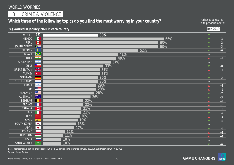3 | CRIME & VIOLENCE

## Which three of the following topics do you find the most worrying in your country? <sup>% change compared</sup> with previous month

with previous month:

 $-3$  $-2$  $-3$  $-6$ 

 $+7$ 

q -8  $+1$ 

 $-2$ 

 $+2$ 

 $-3$  $+2$  $+3$  $+2$  $-4$  $+4$  $-4$ 

 $-4$  $+2$  $+4$ 

 $\blacktriangledown$  -6

|                      |                             | (%) worried in January 2020 in each country | Dec 2019             |
|----------------------|-----------------------------|---------------------------------------------|----------------------|
| <b>WORLD</b>         | $\bigcirc$                  | 30%                                         | $\blacktriangledown$ |
| <b>MEXICO</b>        | <b>P</b>                    | 66%                                         | $\blacktriangledown$ |
| PERU                 |                             | 63%                                         | $\blacktriangledown$ |
| <b>SOUTH AFRICA</b>  | $\sum$                      | 63%                                         | $\blacktriangledown$ |
| <b>SWEDEN</b>        | $\bullet$                   | 52%                                         | $\blacktriangledown$ |
| <b>BRAZIL</b>        | $\bigcirc$                  | 41%                                         | $\equiv$             |
| <b>INDIA</b>         | $\overline{\bullet}$        | 40%                                         | $\blacktriangle$     |
| <b>ARGENTINA</b>     | $\mathbf{R}_{\mathrm{eff}}$ | 37%                                         | $\equiv$             |
| <b>CHILE</b>         | $\star$                     | 33%                                         | ▼                    |
| <b>GREAT BRITAIN</b> | $\frac{N}{N}$               | 31%                                         | $\blacktriangle$     |
| <b>TURKEY</b>        | $ C^* $                     | 31%                                         | $\equiv$             |
| <b>GERMANY</b>       |                             | 30%                                         | $\blacktriangledown$ |
| <b>NETHERLANDS</b>   |                             | 30%                                         | $\equiv$             |
| <b>ISRAEL</b>        | $\overline{\phantom{a}}$    | 29%                                         | ▲                    |
| <b>US</b>            | <u>est</u>                  | 29%                                         | $\blacktriangle$ .   |
| <b>MALAYSIA</b>      | $C \equiv$                  | 28%                                         | ▼                    |
| <b>AUSTRALIA</b>     | 深                           | 26%                                         | $\blacktriangledown$ |
| <b>BELGIUM</b>       |                             | 22%                                         |                      |
| <b>FRANCE</b>        |                             | 22%                                         |                      |
| CANADA               | <b>E</b>                    | 21%                                         |                      |
| <b>ITALY</b>         |                             | 21%                                         | $\blacksquare$       |
| CHINA                |                             | 20%                                         |                      |
| <b>SPAIN</b>         | <b>B</b>                    | 19%                                         | ▼                    |
| <b>SOUTH KOREA</b>   | $\boxed{\bullet}$           | 18%                                         |                      |
| <b>JAPAN</b>         | $\bullet$                   | 17%                                         | $\blacksquare$       |
| <b>POLAND</b>        |                             | 12%                                         |                      |
| <b>HUNGARY</b>       |                             | 11%                                         |                      |
| <b>RUSSIA</b>        |                             | 10%                                         |                      |

Source: Global Advisor Base: Representative sample of adults aged 16-64 in 28 participating countries. January 2020: 19,508; December 2019: 20,011.

**10%**

 $\begin{array}{c} \text{5589} \end{array}$ 

SAUDI ARABIA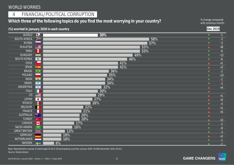## 4 | FINANCIAL/POLITICAL CORRUPTION

## Which three of the following topics do you find the most worrying in your country? <sup>% change compared</sup> with previous month

with previous month:

(%) worried in January 2020 in each country

|--|

| <b>WORLD</b>         | $\bigodot$               | 30% | $\blacktriangledown$ | $-1$  |
|----------------------|--------------------------|-----|----------------------|-------|
| <b>SOUTH AFRICA</b>  | $\sum_{i=1}^{n}$         | 58% | $\blacktriangledown$ | $-3$  |
| <b>RUSSIA</b>        |                          | 57% | ▼                    | $-3$  |
| <b>MALAYSIA</b>      | $C =$                    | 53% | $\blacktriangle$     | $+8$  |
| PERU                 | G                        | 53% | $\blacktriangledown$ | $-6$  |
| <b>HUNGARY</b>       |                          | 49% | ▼                    | $-12$ |
| <b>SOUTH KOREA</b>   | $\sqrt{\bullet}$         | 46% | $\blacktriangledown$ | $-6$  |
| <b>CHILE</b>         |                          | 41% | $\blacktriangle$     | $+1$  |
| <b>SPAIN</b>         | 卷                        | 41% | ▲                    | $+2$  |
| <b>BRAZIL</b>        | $\overline{\bullet}$     | 36% | $\blacktriangledown$ | $-2$  |
| POLAND               |                          | 35% | ▼                    | $-10$ |
| <b>INDIA</b>         | $\overline{\bullet}$     | 34% | ▼                    | $-2$  |
| <b>ISRAEL</b>        | $\overline{\phantom{a}}$ | 34% | $\blacktriangledown$ | $-3$  |
| ARGENTINA            | $\bullet$                | 32% |                      | $+4$  |
| <b>ITALY</b>         |                          | 30% | $\equiv$             |       |
| <b>US</b>            | ▓▓▆▆                     | 29% |                      | $+1$  |
| <b>JAPAN</b>         | $\bullet$                | 27% |                      | $+2$  |
| <b>MEXICO</b>        | Ø                        | 26% |                      | $-4$  |
| <b>BELGIUM</b>       |                          | 22% |                      | $+1$  |
| FRANCE               |                          | 21% |                      | $+5$  |
| AUSTRALIA            | $\frac{1}{\sqrt{2}}$     | 20% |                      |       |
| <b>TURKEY</b>        | $\mathbf{C}^{\star}$     | 20% |                      | $+3$  |
| CANADA               | H                        | 17% |                      | $-2$  |
| SAUDI ARABIA         | $5000$                   | 16% |                      | $-8$  |
| <b>GREAT BRITAIN</b> | $rac{N}{N}$              | 12% |                      | $-3$  |
| <b>GERMANY</b>       |                          | 10% |                      | $+2$  |
| NETHERLANDS          |                          | 10% |                      |       |
| SWEDEN               | $\bullet$                | 6%  | $\blacksquare$       | $-2$  |

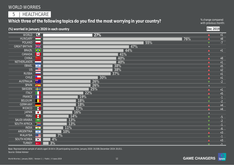5 | HEALTHCARE

## Which three of the following topics do you find the most worrying in your country? <sup>% change compared</sup> with previous month

with previous month:

**Dec 2019**

#### **(%) worried in January 2020 in each country**

| WORLD                | $\bigcirc$                                                                               | 27%   | $\blacktriangle$        | $\pm 1$                  |
|----------------------|------------------------------------------------------------------------------------------|-------|-------------------------|--------------------------|
| <b>HUNGARY</b>       |                                                                                          | 76%   | $\blacktriangle$        | $+8$                     |
| <b>POLAND</b>        |                                                                                          | 55%   | $\overline{\mathbf{v}}$ | $-7$                     |
| <b>GREAT BRITAIN</b> | $rac{N}{N}$                                                                              | 47%   | $\equiv$ .              |                          |
| <b>BRAZIL</b>        | $\bigcirc$                                                                               | 44%   | $\blacktriangle$        | $+1$                     |
| CANADA               | L.                                                                                       | 41%   | $\equiv$                |                          |
| <b>CHINA</b>         |                                                                                          | 40%   | $\blacktriangle$        | $+8$                     |
| <b>NETHERLANDS</b>   | -                                                                                        | 40%   | ▲                       | $\bf{+1}$                |
| <b>ISRAEL</b>        | $\rightarrow$                                                                            | 38%   | ▲                       | $+5$                     |
| US                   | $\equiv$                                                                                 | 38%   | ▲                       | $+2$                     |
| <b>RUSSIA</b>        |                                                                                          | 37%   | ▲                       | $\bf{+1}$                |
| <b>CHILE</b>         | $\begin{array}{ c c c }\hline \textbf{x} & \textbf{y} & \textbf{y} \ \hline \end{array}$ | 30%   | A                       | $+1$                     |
| <b>AUSTRALIA</b>     | $\frac{\partial \mathbf{R}}{\partial \mathbf{r}}$                                        | 26%   | ▼                       | $-2$                     |
| <b>SPAIN</b>         | ■ ● ■                                                                                    | 26%   | $=$ .                   |                          |
| SWEDEN               | ╇                                                                                        | 25%   | $\blacktriangle$ .      | $+1$                     |
| <b>ITALY</b>         |                                                                                          | 22%   |                         | $+5$                     |
| FRANCE               |                                                                                          | 19%   |                         | $\overline{\phantom{0}}$ |
| <b>BELGIUM</b>       |                                                                                          | 18%   |                         | $-2$                     |
| <b>GERMANY</b>       |                                                                                          | 18%   |                         | $+4$                     |
| <b>MEXICO</b>        | $\blacksquare$                                                                           | 17%   |                         | $+4$                     |
| <b>JAPAN</b>         | $\bullet$                                                                                | 16%   | $=$ .                   |                          |
| PERU                 | O                                                                                        | 14%   | $\blacktriangledown$    | $-5$                     |
| SAUDI ARABIA         | $\frac{5539}{\cdots}$                                                                    | 13%   |                         | $-2$                     |
| SOUTH AFRICA         | $\sum_{i=1}^{n}$                                                                         | 13%   |                         | $-1$                     |
| <b>INDIA</b>         | $\overline{\phantom{a}}$                                                                 | 11%   |                         | $-6$                     |
| <b>ARGENTINA</b>     | $\mathbf{R}$                                                                             | 10%   |                         | $+3$                     |
| <b>MALAYSIA</b>      | $C \equiv$                                                                               | $7\%$ |                         | $-1$                     |
| SOUTH KOREA          | $\sqrt{\bullet}$                                                                         | 4%    |                         | $+3$                     |
| <b>TURKEY</b>        | $ C^* $                                                                                  | 3%    |                         | $\overline{1}$           |

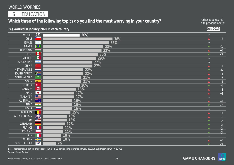6 | EDUCATION

## Which three of the following topics do you find the most worrying in your country? <sup>% change compared</sup> with previous month

with previous month:

|                               |                            | (%) worried in January 2020 in each country | Dec 2019                 |      |
|-------------------------------|----------------------------|---------------------------------------------|--------------------------|------|
| <b>WORLD</b>                  | $\bigcirc$                 | 20%                                         | $\equiv$                 |      |
| <b>CHILE</b>                  | $\star$ .                  | 38%                                         | $\blacktriangle$         | $+2$ |
| <b>ISRAEL</b>                 | $\frac{1}{\sqrt{2}}$       | 36%                                         | $\equiv$                 |      |
| <b>BRAZIL</b>                 | $\bigcirc$                 | 33%                                         | $\blacktriangledown$     | $-1$ |
| <b>HUNGARY</b>                | <b>Contract</b>            | 32%                                         | $\blacktriangle$         | $+5$ |
| <b>PERU</b>                   | $\bullet$                  | 30%                                         | $\blacktriangledown$     | $-3$ |
| <b>MEXICO</b>                 | R                          | 29%                                         | $=$                      |      |
| <b>ARGENTINA</b>              | $\blacksquare$             | 27%                                         | $\equiv$                 |      |
| <b>CHINA</b>                  |                            | 27%                                         | $\blacktriangle$         | $+1$ |
| <b>NETHERLANDS</b>            |                            | 22%                                         | $\blacktriangledown$     | $-6$ |
| <b>SOUTH AFRICA</b>           | $\geq$                     | 22%                                         | $\blacktriangle$         | $+4$ |
| <b>SAUDI ARABIA</b>           | $\frac{55898}{\cdots}$     | 21%                                         | $\blacktriangle$         | $+7$ |
| <b>SPAIN</b>                  | 参加                         | 21%                                         | $\blacktriangle$         | $+4$ |
| <b>TURKEY</b>                 | $\mathbf{C}^{\star}$       | 20%                                         | $\blacktriangledown$     | $-4$ |
| CANADA                        | Ł                          | 18%                                         | $\blacktriangle$         | $+3$ |
| <b>JAPAN</b>                  | $\bullet$                  | 17%                                         | $\blacktriangle$         | $+2$ |
| <b>MALAYSIA</b>               | $C \equiv$                 | 17%                                         | $\equiv$                 |      |
| <b>AUSTRALIA</b>              | 深宁                         | 16%                                         |                          | $+1$ |
| <b>INDIA</b>                  | $ \circ$                   | 16%                                         | ▼                        | $-7$ |
| <b>RUSSIA</b>                 |                            | 16%                                         | $\equiv$                 |      |
| <b>BELGIUM</b>                |                            | 15%                                         |                          | $+1$ |
| <b>GREAT BRITAIN</b>          | $rac{N}{N}$<br>$\equiv$    | 13%                                         |                          | $+2$ |
| US                            |                            | 13%                                         |                          | $-2$ |
| <b>GERMANY</b>                |                            | 12%                                         | $\blacktriangledown$     | $-2$ |
| FRANCE                        |                            | 11%                                         | $\blacktriangledown$     | $-2$ |
| <b>POLAND</b><br><b>ITALY</b> |                            | 11%                                         | $\blacktriangledown$     | $-3$ |
|                               | ▟▀                         | 10%                                         | $=$                      |      |
| SWEDEN                        |                            | 10%                                         |                          | $+3$ |
| <b>SOUTH KOREA</b>            | $\left\  \bullet \right\ $ | 7%                                          | $\overline{\phantom{a}}$ | $-3$ |

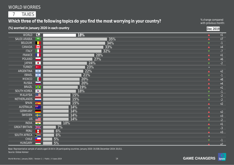## 7 | TAXES

## Which three of the following topics do you find the most worrying in your country? <sup>% change compared</sup> with previous month

with previous month:

|                      |                                               | (%) worried in January 2020 in each country |                      | Dec 2019 |
|----------------------|-----------------------------------------------|---------------------------------------------|----------------------|----------|
| <b>WORLD</b>         | $\bigodot$                                    | 18%                                         | $\blacktriangle$     | $\pm 1$  |
| <b>SAUDI ARABIA</b>  | $\begin{array}{c} 55870 \\ -4080 \end{array}$ | 35%                                         | $\blacktriangle$     | $+7$     |
| <b>BELGIUM</b>       | $\blacksquare$                                | 34%                                         | $\blacktriangledown$ | $-1$     |
| <b>CANADA</b>        | <b>Expert</b>                                 | 33%                                         | $\blacktriangle$     | $+4$     |
| <b>ITALY</b>         | Н                                             | 32%                                         | $\blacktriangledown$ | $-7$     |
| FRANCE               | Н                                             | 28%                                         | $\blacktriangle$     | $+1$     |
| <b>POLAND</b>        |                                               | 27%                                         | $\blacktriangle$     | $+6$     |
| <b>JAPAN</b>         | $\overline{\phantom{a}}$                      | 24%                                         | $\blacktriangledown$ | $-2$     |
| <b>TURKEY</b>        | $\mathbf{C}^{\star}$                          | 23%                                         | $\equiv$             |          |
| <b>ARGENTINA</b>     | $\sim$                                        | 22%                                         | $\blacktriangle$     | $+2$     |
| <b>ISRAEL</b>        | $\sqrt{2}$                                    | 21%                                         | $\blacktriangledown$ | $-1$     |
| <b>MEXICO</b>        | R                                             | 20%                                         | $\blacktriangle$     | $+8$     |
| <b>RUSSIA</b>        |                                               | 20%                                         | $\blacktriangle$     | $+4$     |
| <b>BRAZIL</b>        | $\bigcirc$                                    | 19%                                         | $\blacktriangle$     | $+1$     |
| <b>SOUTH KOREA</b>   | $\sqrt{\cdot}$                                | 18%                                         | $\blacktriangledown$ | $-1$     |
| <b>MALAYSIA</b>      | $\bullet$ $\blacksquare$                      | 15%                                         | $\blacktriangledown$ | $-2$     |
| NETHERLANDS          |                                               | 15%                                         | $\blacktriangledown$ | $-2$     |
| <b>SPAIN</b>         | <b>B</b>                                      | 15%                                         |                      | $+2$     |
| <b>AUSTRALIA</b>     | 深                                             | 14%                                         |                      |          |
| <b>GERMANY</b>       |                                               | 14%                                         |                      | $+2$     |
| SWEDEN               | 22                                            | 14%                                         |                      | $+3$     |
| US                   | <b>EXECUTE</b>                                | 14%                                         |                      | $-2$     |
| <b>INDIA</b>         | $\overline{a}$                                | 10%                                         |                      | $+1$     |
| <b>GREAT BRITAIN</b> | $\frac{N}{N}$                                 | 7%                                          |                      | $-3$     |
| PERU                 |                                               | 6%                                          |                      | $+3$     |
| <b>SOUTH AFRICA</b>  | $\geq$                                        | 6%                                          |                      |          |
| <b>CHILE</b>         | $\star$ $\overline{\phantom{a}}$              | 5%                                          |                      | $-1$     |
| <b>HUNGARY</b>       | __                                            | 5%                                          |                      | $+2$     |

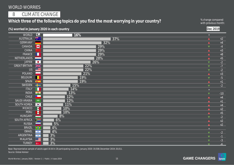8 | CLIMATE CHANGE

## Which three of the following topics do you find the most worrying in your country? <sup>% change compared</sup> with previous month

with previous month:

| $\bigcirc$<br>WORLD<br>16%<br>$\equiv$<br>▓<br><b>AUSTRALIA</b><br>37%<br>$\blacktriangle$<br><b>GERMANY</b><br>32%<br>$\blacktriangle$<br>I÷I<br>29%<br>CANADA<br>$-4$<br>$\blacktriangledown$<br><b>CHINA</b><br>29%<br>$+3$<br>$\blacktriangle$<br>29%<br>FRANCE<br>$+8$<br>$\mathcal{A}$<br>$\blacktriangle$<br><b>NETHERLANDS</b><br>28%<br>$+5$<br>$\blacktriangle$<br><b>JAPAN</b><br>26%<br>$-2$<br>$\bullet$<br>$\blacktriangledown$<br>$rac{N}{N}$<br>$-7$<br>22%<br><b>GREAT BRITAIN</b><br>$\blacktriangledown$<br>22%<br>$-2$<br><b>BEE</b><br><b>US</b><br>$\blacktriangledown$<br><b>POLAND</b><br>21%<br>$+3$<br>$\blacktriangle$<br><b>BELGIUM</b><br>19%<br>$-5$<br>$\blacktriangledown$<br>19%<br>SPAIN <b>B</b><br>$+1$<br>$\blacktriangle$<br><b>SWEDEN</b><br>15%<br>42<br>$-2$<br>$\blacktriangledown$<br>14%<br><b>ITALY</b><br>$\equiv$<br>13%<br><b>INDIA</b><br>$\overline{\bullet}$<br>$-10$<br>$\blacktriangledown$<br>$\vert x \vert$<br>$\overline{12\%}$<br><b>CHILE</b><br>$+4$<br>$\blacktriangle$<br>12%<br><b>SAUDI ARABIA</b><br>$\frac{5239}{2}$<br>$+1$<br>$\blacktriangle$<br>11%<br><b>SOUTH KOREA</b><br>$\sqrt{\bullet}$<br>$+4$<br><b>MEXICO</b><br>10%<br>R<br>$+2$<br>10%<br>PERU<br>G<br>$+5$<br><b>HUNGARY</b><br>8%<br>$-2$<br>$\blacktriangledown$<br><b>SOUTH AFRICA</b><br>6%<br>$\geq$<br>$+2$<br><b>RUSSIA</b><br>5%<br>$+2$<br><b>BRAZIL</b><br>$4\%$<br>$\overline{\bullet}$<br>$\equiv$<br>4%<br><b>ISRAEL</b><br>$\overline{\phantom{a}}$<br>$-2$<br>$\blacktriangledown$<br>$3\%$<br>ARGENTINA<br>$\rightarrow$<br>$-1$<br>$\blacktriangledown$<br>3%<br>MALAYSIA<br>$C \equiv$<br>$-3$<br>$\blacksquare$<br>3%<br><b>TURKEY</b><br>$\overline{\mathbf{C}}$<br>$\blacksquare$ |  | (%) worried in January 2020 in each country | $\vert$ Dec 2019 $\vert$ |
|------------------------------------------------------------------------------------------------------------------------------------------------------------------------------------------------------------------------------------------------------------------------------------------------------------------------------------------------------------------------------------------------------------------------------------------------------------------------------------------------------------------------------------------------------------------------------------------------------------------------------------------------------------------------------------------------------------------------------------------------------------------------------------------------------------------------------------------------------------------------------------------------------------------------------------------------------------------------------------------------------------------------------------------------------------------------------------------------------------------------------------------------------------------------------------------------------------------------------------------------------------------------------------------------------------------------------------------------------------------------------------------------------------------------------------------------------------------------------------------------------------------------------------------------------------------------------------------------------------------------------------------------------------------------------------------------------------------------------------------|--|---------------------------------------------|--------------------------|
|                                                                                                                                                                                                                                                                                                                                                                                                                                                                                                                                                                                                                                                                                                                                                                                                                                                                                                                                                                                                                                                                                                                                                                                                                                                                                                                                                                                                                                                                                                                                                                                                                                                                                                                                          |  |                                             |                          |
|                                                                                                                                                                                                                                                                                                                                                                                                                                                                                                                                                                                                                                                                                                                                                                                                                                                                                                                                                                                                                                                                                                                                                                                                                                                                                                                                                                                                                                                                                                                                                                                                                                                                                                                                          |  |                                             | $+2$                     |
|                                                                                                                                                                                                                                                                                                                                                                                                                                                                                                                                                                                                                                                                                                                                                                                                                                                                                                                                                                                                                                                                                                                                                                                                                                                                                                                                                                                                                                                                                                                                                                                                                                                                                                                                          |  |                                             | $+4$                     |
|                                                                                                                                                                                                                                                                                                                                                                                                                                                                                                                                                                                                                                                                                                                                                                                                                                                                                                                                                                                                                                                                                                                                                                                                                                                                                                                                                                                                                                                                                                                                                                                                                                                                                                                                          |  |                                             |                          |
|                                                                                                                                                                                                                                                                                                                                                                                                                                                                                                                                                                                                                                                                                                                                                                                                                                                                                                                                                                                                                                                                                                                                                                                                                                                                                                                                                                                                                                                                                                                                                                                                                                                                                                                                          |  |                                             |                          |
|                                                                                                                                                                                                                                                                                                                                                                                                                                                                                                                                                                                                                                                                                                                                                                                                                                                                                                                                                                                                                                                                                                                                                                                                                                                                                                                                                                                                                                                                                                                                                                                                                                                                                                                                          |  |                                             |                          |
|                                                                                                                                                                                                                                                                                                                                                                                                                                                                                                                                                                                                                                                                                                                                                                                                                                                                                                                                                                                                                                                                                                                                                                                                                                                                                                                                                                                                                                                                                                                                                                                                                                                                                                                                          |  |                                             |                          |
|                                                                                                                                                                                                                                                                                                                                                                                                                                                                                                                                                                                                                                                                                                                                                                                                                                                                                                                                                                                                                                                                                                                                                                                                                                                                                                                                                                                                                                                                                                                                                                                                                                                                                                                                          |  |                                             |                          |
|                                                                                                                                                                                                                                                                                                                                                                                                                                                                                                                                                                                                                                                                                                                                                                                                                                                                                                                                                                                                                                                                                                                                                                                                                                                                                                                                                                                                                                                                                                                                                                                                                                                                                                                                          |  |                                             |                          |
|                                                                                                                                                                                                                                                                                                                                                                                                                                                                                                                                                                                                                                                                                                                                                                                                                                                                                                                                                                                                                                                                                                                                                                                                                                                                                                                                                                                                                                                                                                                                                                                                                                                                                                                                          |  |                                             |                          |
|                                                                                                                                                                                                                                                                                                                                                                                                                                                                                                                                                                                                                                                                                                                                                                                                                                                                                                                                                                                                                                                                                                                                                                                                                                                                                                                                                                                                                                                                                                                                                                                                                                                                                                                                          |  |                                             |                          |
|                                                                                                                                                                                                                                                                                                                                                                                                                                                                                                                                                                                                                                                                                                                                                                                                                                                                                                                                                                                                                                                                                                                                                                                                                                                                                                                                                                                                                                                                                                                                                                                                                                                                                                                                          |  |                                             |                          |
|                                                                                                                                                                                                                                                                                                                                                                                                                                                                                                                                                                                                                                                                                                                                                                                                                                                                                                                                                                                                                                                                                                                                                                                                                                                                                                                                                                                                                                                                                                                                                                                                                                                                                                                                          |  |                                             |                          |
|                                                                                                                                                                                                                                                                                                                                                                                                                                                                                                                                                                                                                                                                                                                                                                                                                                                                                                                                                                                                                                                                                                                                                                                                                                                                                                                                                                                                                                                                                                                                                                                                                                                                                                                                          |  |                                             |                          |
|                                                                                                                                                                                                                                                                                                                                                                                                                                                                                                                                                                                                                                                                                                                                                                                                                                                                                                                                                                                                                                                                                                                                                                                                                                                                                                                                                                                                                                                                                                                                                                                                                                                                                                                                          |  |                                             |                          |
|                                                                                                                                                                                                                                                                                                                                                                                                                                                                                                                                                                                                                                                                                                                                                                                                                                                                                                                                                                                                                                                                                                                                                                                                                                                                                                                                                                                                                                                                                                                                                                                                                                                                                                                                          |  |                                             |                          |
|                                                                                                                                                                                                                                                                                                                                                                                                                                                                                                                                                                                                                                                                                                                                                                                                                                                                                                                                                                                                                                                                                                                                                                                                                                                                                                                                                                                                                                                                                                                                                                                                                                                                                                                                          |  |                                             |                          |
|                                                                                                                                                                                                                                                                                                                                                                                                                                                                                                                                                                                                                                                                                                                                                                                                                                                                                                                                                                                                                                                                                                                                                                                                                                                                                                                                                                                                                                                                                                                                                                                                                                                                                                                                          |  |                                             |                          |
|                                                                                                                                                                                                                                                                                                                                                                                                                                                                                                                                                                                                                                                                                                                                                                                                                                                                                                                                                                                                                                                                                                                                                                                                                                                                                                                                                                                                                                                                                                                                                                                                                                                                                                                                          |  |                                             |                          |
|                                                                                                                                                                                                                                                                                                                                                                                                                                                                                                                                                                                                                                                                                                                                                                                                                                                                                                                                                                                                                                                                                                                                                                                                                                                                                                                                                                                                                                                                                                                                                                                                                                                                                                                                          |  |                                             |                          |
|                                                                                                                                                                                                                                                                                                                                                                                                                                                                                                                                                                                                                                                                                                                                                                                                                                                                                                                                                                                                                                                                                                                                                                                                                                                                                                                                                                                                                                                                                                                                                                                                                                                                                                                                          |  |                                             |                          |
|                                                                                                                                                                                                                                                                                                                                                                                                                                                                                                                                                                                                                                                                                                                                                                                                                                                                                                                                                                                                                                                                                                                                                                                                                                                                                                                                                                                                                                                                                                                                                                                                                                                                                                                                          |  |                                             |                          |
|                                                                                                                                                                                                                                                                                                                                                                                                                                                                                                                                                                                                                                                                                                                                                                                                                                                                                                                                                                                                                                                                                                                                                                                                                                                                                                                                                                                                                                                                                                                                                                                                                                                                                                                                          |  |                                             |                          |
|                                                                                                                                                                                                                                                                                                                                                                                                                                                                                                                                                                                                                                                                                                                                                                                                                                                                                                                                                                                                                                                                                                                                                                                                                                                                                                                                                                                                                                                                                                                                                                                                                                                                                                                                          |  |                                             |                          |
|                                                                                                                                                                                                                                                                                                                                                                                                                                                                                                                                                                                                                                                                                                                                                                                                                                                                                                                                                                                                                                                                                                                                                                                                                                                                                                                                                                                                                                                                                                                                                                                                                                                                                                                                          |  |                                             |                          |
|                                                                                                                                                                                                                                                                                                                                                                                                                                                                                                                                                                                                                                                                                                                                                                                                                                                                                                                                                                                                                                                                                                                                                                                                                                                                                                                                                                                                                                                                                                                                                                                                                                                                                                                                          |  |                                             |                          |
|                                                                                                                                                                                                                                                                                                                                                                                                                                                                                                                                                                                                                                                                                                                                                                                                                                                                                                                                                                                                                                                                                                                                                                                                                                                                                                                                                                                                                                                                                                                                                                                                                                                                                                                                          |  |                                             |                          |
|                                                                                                                                                                                                                                                                                                                                                                                                                                                                                                                                                                                                                                                                                                                                                                                                                                                                                                                                                                                                                                                                                                                                                                                                                                                                                                                                                                                                                                                                                                                                                                                                                                                                                                                                          |  |                                             | $-6$                     |

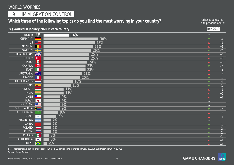## 9 | IMMIGRATION CONTROL

## Which three of the following topics do you find the most worrying in your country? <sup>% change compared</sup> with previous month

with previous month:

|                                 |                               | (%) worried in January 2020 in each country |                                              | Dec 2019     |
|---------------------------------|-------------------------------|---------------------------------------------|----------------------------------------------|--------------|
| WORLD (5)                       |                               | 14%                                         | $\equiv$                                     |              |
| <b>GERMANY</b>                  |                               | 30%                                         | $\blacktriangledown$                         | $-3$         |
|                                 | $US \equiv$                   | 28%                                         | $\blacktriangle$                             | $+1$         |
| <b>BELGIUM</b>                  |                               | 27%                                         | $\blacktriangle$                             | $+5$         |
| SWEDEN                          | ╊                             | 26%                                         | $\blacktriangledown$                         | $-7$         |
| <b>GREAT BRITAIN</b>            | $rac{N}{N}$                   | 25%                                         | $\blacktriangle$                             | $+3$         |
| <b>TURKEY</b>                   | $ C^{\star} $                 | 25%                                         | $\blacktriangle$                             | $+8$         |
| PERU                            | <b>B</b>                      | 24%                                         | $\blacktriangle$                             | $+5$         |
| CANADA                          | <b>Expert</b>                 | 23%                                         | $\blacktriangledown$                         | $-2$         |
| <b>ITALY</b>                    | Н                             | 23%                                         | $\blacktriangle$                             | $+4$         |
| <b>AUSTRALIA</b>                | ▓                             | 21%                                         | $\blacktriangle$                             | $+3$         |
| <b>FRANCE</b>                   | a l                           | 20%                                         | $\blacktriangledown$                         | $-1$         |
| NETHERLANDS                     |                               | 16%                                         | $\blacktriangledown$                         | $-4$         |
| <b>SPAIN</b>                    | <b>图</b>                      | 15%                                         | $\blacktriangledown$                         | $-1$         |
| <b>HUNGARY</b>                  |                               | 11%                                         | $\blacktriangle$                             | $+1$         |
| <b>INDIA</b>                    | $\overline{\bullet}$          | 11%                                         | ▲                                            | $+6$         |
| <b>CHILE</b>                    |                               | 9%                                          |                                              | $+3$         |
| <b>JAPAN</b><br><b>MALAYSIA</b> | $\bullet$<br>$\bullet \equiv$ | $\overline{9\%}$                            | $\equiv$                                     |              |
| SOUTH AFRICA                    | $\succ$                       | 9%<br>9%                                    | $\equiv$                                     |              |
| <b>SAUDI ARABIA</b>             | $+2289$                       | 8%                                          | ▼                                            | $-2$         |
| <b>ISRAEL</b>                   | $\sqrt{2}$                    | $\overline{7\%}$                            |                                              | $+2$         |
| ARGENTINA                       | $\overline{\phantom{a}}$      | 4%                                          |                                              | $+1$         |
| <b>CHINA</b>                    |                               | 4%                                          | $=$                                          |              |
| <b>POLAND</b>                   |                               | 4%                                          | $\blacktriangledown$                         | $-1$         |
| <b>RUSSIA</b>                   |                               | 4%                                          | $\blacktriangledown$<br>$\blacktriangledown$ | $-2$<br>$-2$ |
| <b>MEXICO</b>                   | $\blacksquare$                | $3\%$                                       | $\blacktriangledown$                         | $-1$         |
| <b>SOUTH KOREA</b>              | $\sqrt{\frac{1}{2}}$          | 3%                                          |                                              | $+2$         |
| <b>BRAZIL</b>                   | $\overline{\bullet}$          | 2%                                          |                                              | $+1$         |
|                                 |                               |                                             |                                              |              |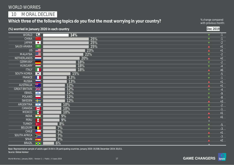10 | MORAL DECLINE

## Which three of the following topics do you find the most worrying in your country? <sup>% change compared</sup> with previous month

with previous month:

|                      |                                                                                                                                                                                           | (%) worried in January 2020 in each country |                      | Dec 2019        |
|----------------------|-------------------------------------------------------------------------------------------------------------------------------------------------------------------------------------------|---------------------------------------------|----------------------|-----------------|
| <b>WORLD</b>         | $\bigcirc$                                                                                                                                                                                | 14%                                         | $\blacktriangledown$ | $-1$            |
| <b>CHINA</b>         |                                                                                                                                                                                           | 25%                                         | $\blacktriangledown$ | $-1$            |
| <b>JAPAN</b>         | $\bullet$                                                                                                                                                                                 | 25%                                         | $\blacktriangledown$ | $-2$            |
| <b>SAUDI ARABIA</b>  | $\stackrel{\tt 55889}{-}$                                                                                                                                                                 | 25%                                         | $\blacktriangle$     | $\overline{+1}$ |
| US                   | <b>BEE</b>                                                                                                                                                                                | 23%                                         | $\blacktriangle$     | $+1$            |
| <b>MALAYSIA</b>      | $\bullet \equiv$                                                                                                                                                                          | 22%                                         | $\blacktriangledown$ | $-2$            |
| <b>NETHERLANDS</b>   |                                                                                                                                                                                           | 20%                                         | $\blacktriangle$     | $+2$            |
| <b>GERMANY</b>       |                                                                                                                                                                                           | 18%                                         | $\blacktriangledown$ | $-2$            |
| <b>HUNGARY</b>       |                                                                                                                                                                                           | $\overline{18\%}$                           | $\blacktriangledown$ | $-4$            |
| <b>ITALY</b>         | Н                                                                                                                                                                                         | $\overline{18\%}$                           | $\blacktriangle$     | $+6$            |
| <b>SOUTH KOREA</b>   | $\boxed{\bullet}$                                                                                                                                                                         | 15%                                         | $\blacktriangledown$ | $-5$            |
| FRANCE               | Н                                                                                                                                                                                         | 13%                                         | $\blacktriangledown$ | $-1$            |
| <b>RUSSIA</b>        |                                                                                                                                                                                           | 13%                                         | $\blacktriangle$     | $+1$            |
| <b>AUSTRALIA</b>     | $\frac{\partial \mathbf{W}}{\partial \mathbf{w}} = \frac{1}{\sqrt{2}} \sum_{i=1}^{n} \frac{\partial \mathbf{W}}{\partial \mathbf{w}_i} \frac{\partial \mathbf{W}}{\partial \mathbf{w}_i}$ | 12%                                         | $\blacktriangle$     | $+1$            |
| <b>GREAT BRITAIN</b> | $rac{N}{N}$                                                                                                                                                                               | 12%                                         | $\blacktriangledown$ | $-4$            |
| <b>ISRAEL</b>        | $\sqrt{2}$                                                                                                                                                                                | 12%                                         | $\blacktriangledown$ | $-9$            |
| POLAND               |                                                                                                                                                                                           | 12%                                         | $\blacktriangledown$ | $-8$            |
| <b>SWEDEN</b>        | 42                                                                                                                                                                                        | 12%                                         | $\blacktriangle$     | $+3$            |
| <b>ARGENTINA</b>     | $\rightarrow$                                                                                                                                                                             | 10%                                         | $\blacktriangledown$ | $-2$            |
| CANADA               | L                                                                                                                                                                                         | $10\%$                                      | $\blacktriangledown$ | $-1$            |
| <b>MEXICO</b>        | <b>P</b>                                                                                                                                                                                  | 10%                                         |                      | $+1$            |
| <b>INDIA</b><br>PERU | $\overline{\phantom{a}}$                                                                                                                                                                  | 9%                                          |                      | $+1$            |
| <b>TURKEY</b>        | $\bullet$                                                                                                                                                                                 | 9%<br>8%                                    | $\equiv$             |                 |
| BELGIUM              | $\mathbf{C}^{\star}$                                                                                                                                                                      |                                             | $\blacktriangledown$ | $-5$            |
| <b>CHILE</b>         | $\star$ $\blacksquare$                                                                                                                                                                    | $7\%$<br>$\overline{7\%}$                   |                      | $-3$            |
| SOUTH AFRICA         | $\sum$                                                                                                                                                                                    | $\overline{7\%}$                            |                      | $+1$            |
| <b>SPAIN</b>         | <b>ISSUEL</b>                                                                                                                                                                             | $\overline{7\%}$                            |                      | $-3$            |
| <b>BRAZIL</b>        | $\left  \bigodot \right $                                                                                                                                                                 | 6%                                          |                      | $+2$            |
|                      |                                                                                                                                                                                           |                                             |                      |                 |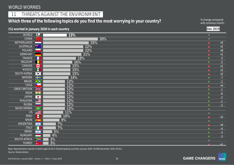## 11 | THREATS AGAINST THE ENVIRONMENT

## Which three of the following topics do you find the most worrying in your country? <sup>% change compared</sup> with previous month

with previous month:

|                                  |                                              | (%) worried in January 2020 in each country | Dec 2019                                     |              |
|----------------------------------|----------------------------------------------|---------------------------------------------|----------------------------------------------|--------------|
| <b>WORLD</b>                     | $\bigodot$                                   | 13%                                         | $\equiv$                                     |              |
| <b>CHINA</b>                     |                                              | 30%                                         | $\equiv$                                     |              |
| NETHERLANDS                      | <u>a shekara ta 1999 a shekara t</u>         | 25%                                         | $\blacktriangle$                             | $+5$         |
| <b>AUSTRALIA</b>                 | ▓                                            | 22%                                         | $\blacktriangle$                             | $+2$         |
| POLAND                           |                                              | 22%                                         | $\blacktriangle$                             | $+8$         |
| <b>GERMANY</b>                   |                                              | 21%                                         | $\blacktriangle$                             | $+1$         |
| FRANCE                           |                                              | 18%                                         | $\blacktriangledown$                         | $-3$         |
| <b>BELGIUM</b>                   |                                              | 16%                                         | $\blacktriangledown$                         | $-2$         |
| CANADA                           | Ł                                            | 15%                                         | $\blacktriangle$                             | $+1$         |
| <b>MEXICO</b>                    |                                              | 15%                                         | $\blacktriangle$                             | $+2$         |
| <b>SOUTH KOREA</b>               | $\boxed{\bullet}$                            | 15%                                         | $\blacktriangle$                             | $+2$         |
| SWEDEN                           | ▅▅                                           | 14%                                         | $\blacktriangledown$                         | $-7$         |
| <b>BRAZIL</b>                    | $\overline{\bullet}$<br>$\frac{1}{\sqrt{2}}$ | 12%                                         | $\blacktriangledown$                         | $-2$         |
| <b>CHILE</b>                     |                                              | 12%                                         | $\blacktriangle$                             | $+4$         |
| <b>GREAT BRITAIN</b>             | $\frac{N}{N}$                                | 12%                                         | $\blacktriangledown$                         | $-1$         |
| <b>INDIA</b>                     | $\bullet$                                    | 12%                                         | $\blacktriangledown$                         | $-6$         |
| <b>JAPAN</b>                     | $\bullet$<br>$C \equiv$                      | 12%                                         | $\blacktriangledown$                         | $-2$         |
| <b>MALAYSIA</b><br><b>RUSSIA</b> |                                              | 12%                                         | $\blacktriangledown$                         | $-1$         |
| <b>SAUDI ARABIA</b>              | $5000$                                       | 12%<br>12%                                  | $\blacktriangledown$                         | $-2$         |
| <b>US</b>                        | <u> IIII </u>                                | 11%                                         | $\equiv$                                     |              |
| PERU                             | <b>B</b>                                     | 10%                                         |                                              |              |
| <b>SPAIN</b>                     |                                              | 9%                                          |                                              | $+2$         |
| <b>ARGENTINA</b>                 | $\overline{\phantom{a}}$                     | $7\%$                                       | $=$                                          |              |
| <b>ITALY</b>                     |                                              | $\overline{7\%}$                            |                                              | $+4$         |
| <b>ISRAEL</b>                    | $\overline{\phantom{a}}$                     | $5\%$                                       | $\blacksquare$                               | $-4$         |
| <b>HUNGARY</b>                   |                                              | 4%                                          | $\blacktriangledown$<br>$\blacktriangledown$ | $-3$<br>$-3$ |
| SOUTH AFRICA                     | $\sum$                                       | $3\%$                                       |                                              |              |
| <b>TURKEY</b>                    | $ _{\mathbf{C}^*}$                           | 3%                                          |                                              | $+1$         |
|                                  |                                              |                                             |                                              |              |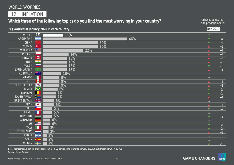World Worries | January 2020 | Version 1 | Public | © Ipsos 2019 19

## WORLD WORRIES

12 | INFLATION

Which three of the following topics do you find the most worrying in your country? <sup>% change compared</sup> with previous month

**(%) worried in January 2020 in each country** 

| <b>WORLD</b>         | $\bigcirc$                                          | 11%              | $\equiv$             |                  |
|----------------------|-----------------------------------------------------|------------------|----------------------|------------------|
| ARGENTINA            | $\mathcal{A}_{\mathcal{A}}$                         | 46%              | $\blacktriangledown$ | $-8$             |
| <b>CHINA</b>         |                                                     | 30%              | $\blacktriangledown$ | $-4$             |
| <b>TURKEY</b>        | $\overline{\phantom{a}}$ C*                         | 30%              | $\blacktriangle$     | $+1$             |
| <b>MALAYSIA</b>      | $C \equiv$                                          | 22%              | $\blacktriangle$     | $+3$             |
| POLAND               |                                                     | 14%              | ▲                    | $+2$             |
| CANADA               | <b>Exercise</b>                                     | 13%<br>↿         | $\blacktriangle$     | $+2$             |
| <b>INDIA</b>         | $\bullet$                                           | $13\%$           | ▲                    | $+3$             |
| <b>RUSSIA</b>        |                                                     | 13%              | ▼                    | $-1$             |
| <b>SAUDI ARABIA</b>  |                                                     | 13%              | ▲                    | $+4$             |
| AUSTRALIA            | ▓∵                                                  | 10%              | $\equiv$             |                  |
| MEXICO               | R                                                   | 9%               | $\equiv$             |                  |
| <b>PERU</b>          | G                                                   | 9%               | $\blacktriangle$     | $+2$             |
| <b>SOUTH KOREA</b>   | $\left  \left\langle \bullet \right\rangle \right $ | 9%               |                      | $^{\mathrm{+2}}$ |
| <b>BRAZIL</b>        | $\blacklozenge$                                     | 8%               | ▼                    | $-2$             |
| <b>BELGIUM</b>       | Н                                                   | $\overline{7\%}$ | ▼                    | $-1$             |
| SOUTH AFRICA         | $\geq$                                              | 7%               |                      | $+2$             |
| <b>GREAT BRITAIN</b> | $rac{N}{N}$                                         | 6%               | $\equiv$             |                  |
| <b>JAPAN</b>         | $\bullet$                                           | 6%               |                      | $+1$             |
| <b>CHILE</b>         |                                                     | 5%               |                      | $-4$             |
| FRANCE               | ×.                                                  | 5%               | $\equiv$             |                  |
| <b>HUNGARY</b>       |                                                     | 5%               | $\blacksquare$       | $-3$             |
| <b>GERMANY</b>       |                                                     | $4\%$            | $\equiv$             |                  |
| <b>US</b>            |                                                     | 4%               |                      | $-2$             |
| <b>ITALY</b>         |                                                     | 3%               |                      | $-2$             |
| <b>NETHERLANDS</b>   |                                                     | 3%               |                      | $+1$             |
| <b>ISRAEL</b>        | $\sqrt{2}$                                          | $2\%$            |                      |                  |
| SPAIN                | 麻                                                   | 2%               |                      |                  |
| SWEDEN               |                                                     | 2%               | $\blacktriangledown$ | $-1$             |

Source: Global Advisor Base: Representative sample of adults aged 16-64 in 28 participating countries. January 2020: 19,508; December 2019: 20,011. with previous month:

**Dec 2019**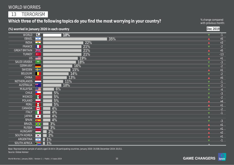13 | TERRORISM

## Which three of the following topics do you find the most worrying in your country? <sup>% change compared</sup> with previous month

with previous month:

|                               |                                                                                                           | (%) worried in January 2020 in each country |                      | Dec 2019     |
|-------------------------------|-----------------------------------------------------------------------------------------------------------|---------------------------------------------|----------------------|--------------|
| <b>WORLD</b>                  | $\bigcirc$                                                                                                | 10%                                         | $\blacktriangledown$ | $-1$         |
| <b>ISRAEL</b>                 | $\begin{array}{ c c } \hline \quad \star \quad \star \quad \star \end{array}$                             | 35%                                         | $\blacktriangle$     | $+5$         |
| <b>INDIA</b>                  | $\overline{\phantom{a}}$                                                                                  | 22%                                         | $\blacktriangle$     | $+3$         |
| FRANCE                        | Н                                                                                                         | 21%                                         | $\blacktriangledown$ | $-2$         |
| <b>GREAT BRITAIN</b>          | $\frac{N}{N}$                                                                                             | 21%                                         | $\blacktriangle$     | $+5$         |
| <b>TURKEY</b>                 | $\mathbf{C}^{\star}$                                                                                      | 21%                                         | $\blacktriangledown$ | $-13$        |
| $\overline{US}$               | $\equiv$                                                                                                  | 19%                                         | $\blacktriangle$     | $+1$         |
| <b>SAUDI ARABIA</b>           | $\begin{array}{c} 32899 \\[-4pt] \begin{array}{c} \begin{array}{c} 0 \end{array} \end{array} \end{array}$ | $\overline{18\%}$                           | $\blacktriangledown$ | $-3$         |
| <b>GERMANY</b>                |                                                                                                           | 16%                                         | $\blacktriangledown$ | $-2$         |
| SWEDEN                        | 22                                                                                                        | 15%                                         | $\blacktriangle$     | $+1$         |
| <b>BELGIUM</b>                |                                                                                                           | 14%                                         | $\blacktriangledown$ | $-2$         |
| <b>CHINA</b>                  |                                                                                                           | 13%                                         | $\blacktriangle$     | $+5$         |
| NETHERLANDS                   | _                                                                                                         | 11%                                         | $\blacktriangledown$ | $-1$         |
| <b>AUSTRALIA</b>              | ■ ※                                                                                                       | 10%                                         | $\blacktriangledown$ | $-2$         |
| MALAYSIA                      | $C \equiv$<br>$\star$                                                                                     | 6%                                          | $\blacktriangledown$ | $-4$         |
| <b>CHILE</b><br><b>MEXICO</b> |                                                                                                           | 5%                                          | $\blacktriangledown$ | $-3$         |
| POLAND                        | <b>P</b>                                                                                                  | 5%                                          | $\blacktriangledown$ | $-2$         |
| PERU                          | G                                                                                                         | 5%<br>5%                                    | $\blacktriangle$     | $+4$         |
| CANADA                        | L÷                                                                                                        | $4\%$                                       | $\blacktriangle$ .   | $+1$         |
| <b>ITALY</b>                  |                                                                                                           | 4%                                          | $\blacktriangledown$ | $-2$         |
| <b>JAPAN</b>                  | $\bullet$                                                                                                 | 4%                                          | $\blacktriangledown$ | $-1$         |
| SPAIN                         | 赛                                                                                                         | 4%                                          | $\equiv$             |              |
| <b>BRAZIL</b>                 | $\overline{\bullet}$                                                                                      | 3%                                          | $\blacktriangledown$ | $-3$         |
| <b>RUSSIA</b>                 |                                                                                                           | 3%                                          |                      | $+1$         |
| <b>HUNGARY</b>                |                                                                                                           | 2%                                          |                      | $+1$<br>$+2$ |
| <b>SOUTH KOREA</b>            | $\boxed{\bullet}$                                                                                         | 2%                                          |                      | $+1$         |
| <b>ARGENTINA</b>              | $\overline{\phantom{a}}$                                                                                  | $1\%$                                       |                      | $-1$         |
| SOUTH AFRICA                  | $\geq$                                                                                                    | 1%                                          |                      |              |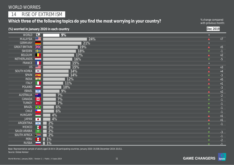14 | RISE OF EXTREMISM

## Which three of the following topics do you find the most worrying in your country?<br>with previous month

with previous month:

|                           |                                        | (%) worried in January 2020 in each country |                          | Dec 2019     |
|---------------------------|----------------------------------------|---------------------------------------------|--------------------------|--------------|
| WORLD                     | $\Diamond$                             | 9%                                          | $\equiv$                 |              |
| <b>MALAYSIA</b>           | $C =$                                  | 24%                                         | $\blacktriangle$         | $+7$         |
| <b>GERMANY</b>            |                                        | 21%                                         | $\equiv$                 |              |
| <b>GREAT BRITAIN</b>      | $rac{N}{N}$                            | 19%                                         | $\blacktriangle$         | $+5$         |
| SWEDEN                    | ÷                                      | 18%                                         | $\blacktriangledown$     | $-1$         |
| <b>BELGIUM</b>            |                                        | 17%                                         | $\blacktriangle$         | $+2$         |
| NETHERLANDS               |                                        | 16%                                         | $\blacktriangledown$     | $-5$         |
| FRANCE                    | Н                                      | 15%                                         | $\equiv$                 |              |
| US                        | <u>est</u>                             | 15%                                         | $\blacktriangle$         | $+3$         |
| <b>SOUTH KOREA</b>        | $\overline{\mathbf{C}^*_{\mathbf{C}}}$ | 14%                                         | $\blacktriangle$         | $+4$         |
| <b>SPAIN</b>              | $\frac{1}{2}$                          | 14%                                         | $\blacktriangledown$     | $-3$         |
| <b>INDIA</b>              | $\overline{\phantom{a}}$               | $\overline{12\%}$                           | $\blacktriangle$         | $+5$         |
| <b>ITALY</b>              | П                                      | 11%                                         | $\blacktriangle$         | $+1$         |
| <b>POLAND</b>             |                                        | 10%                                         | $\blacktriangledown$     | $-3$         |
| <b>ISRAEL</b>             | $\sqrt{2}$                             | 9%                                          | $\blacktriangle$         | $+2$         |
| <b>AUSTRALIA</b>          | 深刻                                     | 7%                                          | $\blacktriangledown$     | $\mathbf{E}$ |
| CANADA                    | Ł                                      | 7%                                          | $\blacktriangledown$     | $-1$         |
| <b>TURKEY</b>             | $\mathbf{C}^{\star}$                   | 7%                                          | $\blacktriangledown$     | $-1$         |
| <b>BRAZIL</b>             | $\overline{\bullet}$<br>$\star$        | 6%                                          | $\blacktriangledown$     | $-1$         |
| <b>CHILE</b>              |                                        | 6%                                          | $\blacktriangledown$     | $-1$         |
| <b>HUNGARY</b>            | $\sim$                                 | 4%                                          |                          | $+1$         |
| <b>JAPAN</b><br>ARGENTINA | $\bullet$                              | 4%                                          |                          | $+1$         |
| <b>MEXICO</b>             | $\overline{\phantom{a}}$               | 2%<br>2%                                    |                          | $-1$         |
| SAUDI ARABIA              | <b>I</b><br><u> 19319</u>              |                                             |                          |              |
| SOUTH AFRICA              | $\succ$                                | 2%<br>2%                                    | $\blacksquare$           | -3           |
| PERU                      | $\left  \mathbf{G} \right $            | $1\%$                                       | ▼                        | $-1$         |
| <b>RUSSIA</b>             |                                        | 1%                                          |                          | $-2$         |
|                           |                                        |                                             | $\overline{\phantom{a}}$ | $-1$         |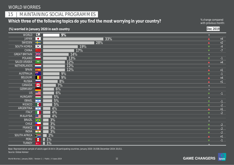## 15 | MAINTAINING SOCIAL PROGRAMMES

## Which three of the following topics do you find the most worrying in your country? <sup>% change compared</sup> with previous month

with previous month:

**(%) worried in January 2020 in each country Dec 2019**

| WORLD                | $\Theta$                                                                                | 9%               | $\equiv$ .           |           |
|----------------------|-----------------------------------------------------------------------------------------|------------------|----------------------|-----------|
| <b>JAPAN</b>         | $\bullet$                                                                               | 33%              | $\blacktriangle$     | $+4$      |
| SWEDEN               | $\div$                                                                                  | 28%              | ▲                    | $+2$      |
| <b>SOUTH KOREA</b>   | $\left  \cdot \right\rangle$                                                            | 19%              | $\blacksquare$       | $-4$      |
| <b>CHINA</b>         |                                                                                         | 17%              | ▼                    | $-7$      |
| <b>GREAT BRITAIN</b> | $\frac{N}{N}$                                                                           | 14%              | $=$                  |           |
| <b>POLAND</b>        |                                                                                         | 13%              | $\blacktriangledown$ | $-1$      |
| <b>SAUDI ARABIA</b>  | $\begin{array}{c} \begin{array}{c} \text{55899} \\ \text{2000} \end{array} \end{array}$ | 12%              | ▲                    | $+4$      |
| <b>NETHERLANDS</b>   | <b>Contract Contract</b>                                                                | 12%              | $\equiv$             |           |
| <b>SPAIN</b>         | <b>SOF</b>                                                                              | 12%              | $\blacktriangle$     | $+1$      |
| <b>AUSTRALIA</b>     | ▓                                                                                       | 9%               | $\blacktriangledown$ | $-1$      |
| <b>BELGIUM</b>       |                                                                                         | 9%               |                      | $+4$      |
| <b>RUSSIA</b>        |                                                                                         | 8%               |                      | $\bf{+1}$ |
| CANADA               | Ł                                                                                       | $\overline{7\%}$ | $=$                  |           |
| <b>GERMANY</b>       |                                                                                         | 6%               | $\equiv$ .           |           |
| US                   |                                                                                         | 6%               | $\blacktriangledown$ | $-1$      |
| <b>HUNGARY</b>       |                                                                                         | 5%               | $\equiv$             |           |
| <b>ISRAEL</b>        | $\frac{1}{2}$                                                                           | 5%               | ▼                    | $-1$      |
| <b>MEXICO</b>        | $\blacksquare$                                                                          | 5%               |                      | $-2$      |
| <b>ARGENTINA</b>     | $\overline{\phantom{a}}$                                                                | $4\%$            |                      | $+1$      |
| <b>ITALY</b>         |                                                                                         | 4%               |                      | $-2$      |
| <b>MALAYSIA</b>      | $\bullet \equiv$                                                                        | 4%               | $\equiv$             |           |
| <b>BRAZIL</b>        | $\blacklozenge$                                                                         | 3%               | $=$                  |           |
| <b>CHILE</b>         | $\star$ .                                                                               | 3%               |                      | $-2$      |
| FRANCE               |                                                                                         | 3%               |                      | $-2$      |
| <b>INDIA</b>         | $\overline{\bullet}$                                                                    | 3%               |                      | $-2$      |
| <b>SOUTH AFRICA</b>  | $\succ$                                                                                 | 2%               |                      | $+1$      |
| PERU                 | 6                                                                                       | $1\%$            |                      | $-1$      |
| TURKEY               | $\mathbf{C}^{\star}$                                                                    | 1%               |                      |           |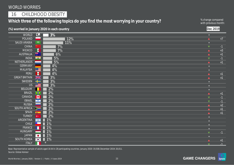### 16 | CHILDHOOD OBESITY

## Which three of the following topics do you find the most worrying in your country?<br>with previous month

with previous month:

|                            | (%) worried in January 2020 in each country |                      | Dec 2019 |
|----------------------------|---------------------------------------------|----------------------|----------|
| <b>WORLD</b>               | $\bigodot$<br>3%                            | $\equiv$             |          |
| <b>POLAND</b>              | 12%                                         | $\blacktriangle$     | $+7$     |
| <b>SAUDI ARABIA</b>        | $\frac{12889}{2}$<br>11%                    | $=$                  |          |
| <b>CHINA</b>               | 7%                                          | $\blacktriangledown$ | $-1$     |
| <b>MEXICO</b>              | <b>P</b><br>7%                              | $\blacktriangle$ .   | $+3$     |
| <b>AUSTRALIA</b>           | ▓<br>6%                                     | $\blacktriangle$     | $+1$     |
| <b>INDIA</b>               | 5%<br>$\circ$                               | $\blacktriangledown$ | $-1$     |
| <b>NETHERLANDS</b>         | 5%                                          | $\blacktriangle$     | $+1$     |
| <b>GERMANY</b>             | $4\%$                                       | $\equiv$             |          |
| <b>MALAYSIA</b>            | $\bullet \equiv$<br>4%                      | $\equiv$             |          |
| PERU                       | G<br>4%                                     | $\blacktriangle$     | $+1$     |
| <b>GREAT BRITAIN</b>       | $rac{N}{N}$<br>3%                           | $\blacktriangle$ .   | $+1$     |
| <b>SWEDEN</b>              | 3%                                          | $\equiv$             |          |
| <b>US</b>                  | 3%                                          | $\equiv$             |          |
| <b>BELGIUM</b>             | 2%                                          | $\equiv$             |          |
| <b>BRAZIL</b>              | 2%<br>$\bullet$                             | $\blacktriangle$ .   | $+1$     |
| CANADA                     | 2%<br>$\blacktriangleright$                 | $\blacktriangledown$ | $-1$     |
| <b>ISRAEL</b>              | 2%<br>$\frac{1}{2}$                         | ▼                    | $-1$     |
| <b>RUSSIA</b>              | 2%                                          |                      | $+2$     |
| <b>SOUTH AFRICA</b>        | 2%<br>$\sum$                                |                      | $+1$     |
| SPAIN                      | 2%<br>藤                                     |                      | $+1$     |
| <b>TURKEY</b><br>ARGENTINA | 2%<br>$\mathbf{C}^{\star}$                  |                      |          |
| <b>CHILE</b>               | $1\%$<br>$\rightarrow$<br>$\mathbf{X}$      |                      |          |
| FRANCE                     | 1%<br>1%                                    | $=$                  |          |
| <b>HUNGARY</b>             | $\frac{1}{6}$                               | $\equiv$             |          |
| <b>JAPAN</b>               | 1%<br>$\bullet$                             | $\blacktriangledown$ | $-1$     |
| SOUTH KOREA                | 1%                                          |                      |          |
| <b>ITALY</b>               | $\sqrt{\frac{1}{2}}$                        |                      | $+1$     |
|                            |                                             | $\blacksquare$       | $-1$     |

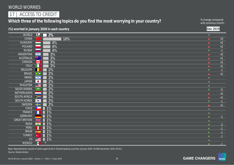## 17 | ACCESS TO CREDIT

## Which three of the following topics do you find the most worrying in your country? <sup>% change compared</sup> with previous month

with previous month:

| (%) worried in January 2020 in each country |                                                                                                                                                                                                                                                                                                                                                                                 |                  | Dec 2019             |      |
|---------------------------------------------|---------------------------------------------------------------------------------------------------------------------------------------------------------------------------------------------------------------------------------------------------------------------------------------------------------------------------------------------------------------------------------|------------------|----------------------|------|
| <b>WORLD</b>                                | $\bigodot$                                                                                                                                                                                                                                                                                                                                                                      | $2\%$            | $\equiv$             |      |
| <b>CHINA</b>                                |                                                                                                                                                                                                                                                                                                                                                                                 | 10%              | $\blacktriangle$     | $+3$ |
| <b>HUNGARY</b>                              | <b>Contract</b>                                                                                                                                                                                                                                                                                                                                                                 | 4%               | $\blacktriangle$     | $+2$ |
| <b>POLAND</b>                               |                                                                                                                                                                                                                                                                                                                                                                                 | 4%               | $\blacktriangle$     | $+2$ |
| <b>RUSSIA</b>                               |                                                                                                                                                                                                                                                                                                                                                                                 | 4%               | $\blacktriangledown$ | $-1$ |
| ARGENTINA                                   | $\sim$                                                                                                                                                                                                                                                                                                                                                                          | 3%               | $\blacktriangle$     | $+2$ |
| <b>AUSTRALIA</b>                            | ▓                                                                                                                                                                                                                                                                                                                                                                               | 3%               | $\blacktriangle$     | $+1$ |
| CANADA                                      | Ł                                                                                                                                                                                                                                                                                                                                                                               | 3%               | $\blacktriangle$     | $+1$ |
| <b>ITALY</b>                                |                                                                                                                                                                                                                                                                                                                                                                                 | 3%               | $\blacktriangle$     | $+1$ |
| <b>BELGIUM</b>                              |                                                                                                                                                                                                                                                                                                                                                                                 | 2%               | $\blacktriangledown$ | $-1$ |
| <b>BRAZIL</b>                               | $\blacklozenge$                                                                                                                                                                                                                                                                                                                                                                 | 2%               | $\blacktriangle$     | $+1$ |
| <b>ISRAEL</b>                               | $\frac{1}{2}$                                                                                                                                                                                                                                                                                                                                                                   | 2%               | $\equiv$             |      |
| <b>JAPAN</b>                                | $\bullet$                                                                                                                                                                                                                                                                                                                                                                       | 2%               | $\equiv$             |      |
| <b>MALAYSIA</b>                             | $\bullet$                                                                                                                                                                                                                                                                                                                                                                       | 2%               | $\equiv$             |      |
| <b>SAUDI ARABIA</b>                         | $\begin{array}{c} 5339 \\[-4pt] \rule{0pt}{12pt} \rule{0pt}{2.5pt} \rule{0pt}{2.5pt} \rule{0pt}{2.5pt} \rule{0pt}{2.5pt} \rule{0pt}{2.5pt} \rule{0pt}{2.5pt} \rule{0pt}{2.5pt} \rule{0pt}{2.5pt} \rule{0pt}{2.5pt} \rule{0pt}{2.5pt} \rule{0pt}{2.5pt} \rule{0pt}{2.5pt} \rule{0pt}{2.5pt} \rule{0pt}{2.5pt} \rule{0pt}{2.5pt} \rule{0pt}{2.5pt} \rule{0pt}{2.5pt} \rule{0pt}{$ | 2%               | $\blacktriangledown$ | $-5$ |
| <b>NETHERLANDS</b>                          |                                                                                                                                                                                                                                                                                                                                                                                 | 2%               | $\blacktriangle$     | $+1$ |
| <b>SOUTH AFRICA</b>                         | $\sum$                                                                                                                                                                                                                                                                                                                                                                          | 2%               | $\blacktriangle$     | $+1$ |
| SOUTH KOREA                                 | $\sqrt[3]{\bullet^n}$                                                                                                                                                                                                                                                                                                                                                           | 2%               | $\blacktriangledown$ | $-1$ |
| <b>SWEDEN</b>                               | Æ<br>$\star$                                                                                                                                                                                                                                                                                                                                                                    | 2%               | $\blacktriangle$     | $+1$ |
| <b>CHILE</b>                                |                                                                                                                                                                                                                                                                                                                                                                                 | $\overline{1\%}$ | $\equiv$             |      |
| FRANCE                                      |                                                                                                                                                                                                                                                                                                                                                                                 | $1\%$            |                      |      |
| <b>GERMANY</b>                              |                                                                                                                                                                                                                                                                                                                                                                                 | $1\%$            | $\blacktriangledown$ | $-1$ |
| <b>GREAT BRITAIN</b><br><b>INDIA</b>        | $\frac{N}{N}$                                                                                                                                                                                                                                                                                                                                                                   | 1%               | $\equiv$             |      |
| PERU                                        | $\overline{\phantom{a}}$                                                                                                                                                                                                                                                                                                                                                        | 1%               | $\blacktriangledown$ | $-2$ |
| <b>SPAIN</b>                                | G                                                                                                                                                                                                                                                                                                                                                                               | 1%<br>$1\%$      | $\blacktriangledown$ | $-1$ |
| <b>TURKEY</b>                               | <b>Basic</b><br>$\mathbf{C}^{\star}$                                                                                                                                                                                                                                                                                                                                            | 1%               | $\blacktriangledown$ | $-1$ |
| <b>US</b>                                   | $\frac{1}{2}$                                                                                                                                                                                                                                                                                                                                                                   | 1%               | $\blacktriangledown$ | $-1$ |
| <b>MEXICO</b>                               | ш<br><b>I</b>                                                                                                                                                                                                                                                                                                                                                                   |                  |                      |      |
|                                             |                                                                                                                                                                                                                                                                                                                                                                                 |                  | $\mathbf{v}$         | $-1$ |

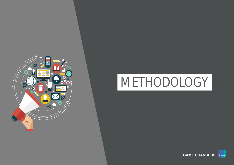

World Worries | January 2020 | Version 1 | Public | © Ipsos 2019 25

# METHODOLOGY

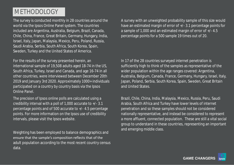# METHODOLOGY

The survey is conducted monthly in 28 countries around the world via the Ipsos Online Panel system. The countries included are Argentina, Australia, Belgium, Brazil, Canada, Chile, China, France, Great Britain, Germany, Hungary, India, Israel, Italy, Japan, Malaysia, Mexico, Peru, Poland, Russia, Saudi Arabia, Serbia, South Africa, South Korea, Spain, Sweden, Turkey and the United States of America.

For the results of the survey presented herein, an international sample of 19,508 adults aged 18-74 in the US, South Africa, Turkey, Israel and Canada, and age 16-74 in all other countries, were interviewed between December 20th 2019 and January 3rd 2020. Approximately 1000+ individuals participated on a country by country basis via the Ipsos Online Panel.

The precision of Ipsos online polls are calculated using a credibility interval with a poll of 1,000 accurate to +/- 3.1 percentage points and of 500 accurate to +/- 4.5 percentage points. For more information on the Ipsos use of credibility intervals, please visit the Ipsos website.

Weighting has been employed to balance demographics and ensure that the sample's composition reflects that of the adult population according to the most recent country census data.

A survey with an unweighted probability sample of this size would have an estimated margin of error of +/- 3.1 percentage points for a sample of 1,000 and an estimated margin of error of +/- 4.5 percentage points for a 500 sample 19 times out of 20.

In 17 of the 28 countries surveyed internet penetration is sufficiently high to think of the samples as representative of the wider population within the age ranges covered: Argentina, Australia, Belgium, Canada, France, Germany, Hungary, Israel, Italy, Japan, Poland, Serbia, South Korea, Spain, Sweden, Great Britain and United States.

Brazil, Chile, China, India, Malaysia, Mexico, Russia, Peru, Saudi Arabia, South Africa and Turkey have lower levels of internet penetration and so these samples should not be considered nationally representative, and instead be considered to represent a more affluent, connected population. These are still a vital social group to understand in these countries, representing an important and emerging middle class.